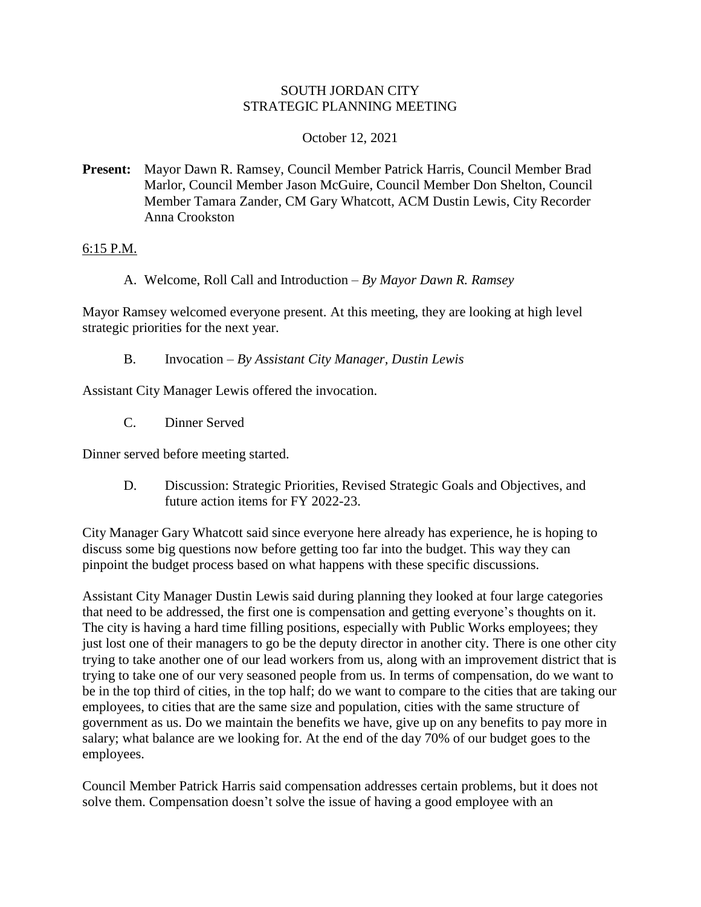# SOUTH JORDAN CITY STRATEGIC PLANNING MEETING

# October 12, 2021

**Present:** Mayor Dawn R. Ramsey, Council Member Patrick Harris, Council Member Brad Marlor, Council Member Jason McGuire, Council Member Don Shelton, Council Member Tamara Zander, CM Gary Whatcott, ACM Dustin Lewis, City Recorder Anna Crookston

### 6:15 P.M.

A. Welcome, Roll Call and Introduction – *By Mayor Dawn R. Ramsey*

Mayor Ramsey welcomed everyone present. At this meeting, they are looking at high level strategic priorities for the next year.

B. Invocation – *By Assistant City Manager, Dustin Lewis*

Assistant City Manager Lewis offered the invocation.

C. Dinner Served

Dinner served before meeting started.

D. Discussion: Strategic Priorities, Revised Strategic Goals and Objectives, and future action items for FY 2022-23.

City Manager Gary Whatcott said since everyone here already has experience, he is hoping to discuss some big questions now before getting too far into the budget. This way they can pinpoint the budget process based on what happens with these specific discussions.

Assistant City Manager Dustin Lewis said during planning they looked at four large categories that need to be addressed, the first one is compensation and getting everyone's thoughts on it. The city is having a hard time filling positions, especially with Public Works employees; they just lost one of their managers to go be the deputy director in another city. There is one other city trying to take another one of our lead workers from us, along with an improvement district that is trying to take one of our very seasoned people from us. In terms of compensation, do we want to be in the top third of cities, in the top half; do we want to compare to the cities that are taking our employees, to cities that are the same size and population, cities with the same structure of government as us. Do we maintain the benefits we have, give up on any benefits to pay more in salary; what balance are we looking for. At the end of the day 70% of our budget goes to the employees.

Council Member Patrick Harris said compensation addresses certain problems, but it does not solve them. Compensation doesn't solve the issue of having a good employee with an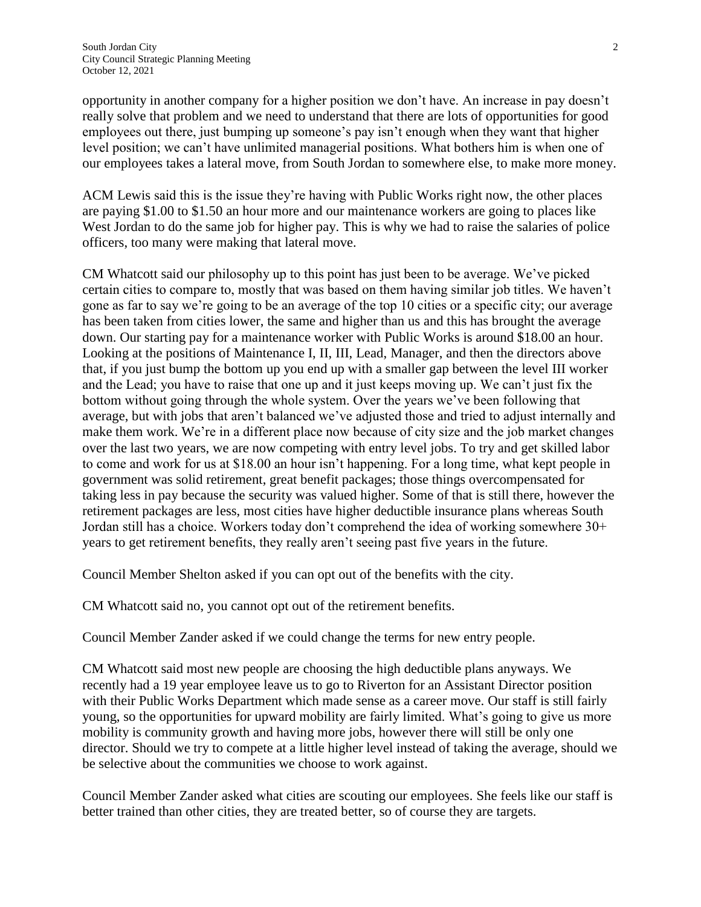opportunity in another company for a higher position we don't have. An increase in pay doesn't really solve that problem and we need to understand that there are lots of opportunities for good employees out there, just bumping up someone's pay isn't enough when they want that higher level position; we can't have unlimited managerial positions. What bothers him is when one of our employees takes a lateral move, from South Jordan to somewhere else, to make more money.

ACM Lewis said this is the issue they're having with Public Works right now, the other places are paying \$1.00 to \$1.50 an hour more and our maintenance workers are going to places like West Jordan to do the same job for higher pay. This is why we had to raise the salaries of police officers, too many were making that lateral move.

CM Whatcott said our philosophy up to this point has just been to be average. We've picked certain cities to compare to, mostly that was based on them having similar job titles. We haven't gone as far to say we're going to be an average of the top 10 cities or a specific city; our average has been taken from cities lower, the same and higher than us and this has brought the average down. Our starting pay for a maintenance worker with Public Works is around \$18.00 an hour. Looking at the positions of Maintenance I, II, III, Lead, Manager, and then the directors above that, if you just bump the bottom up you end up with a smaller gap between the level III worker and the Lead; you have to raise that one up and it just keeps moving up. We can't just fix the bottom without going through the whole system. Over the years we've been following that average, but with jobs that aren't balanced we've adjusted those and tried to adjust internally and make them work. We're in a different place now because of city size and the job market changes over the last two years, we are now competing with entry level jobs. To try and get skilled labor to come and work for us at \$18.00 an hour isn't happening. For a long time, what kept people in government was solid retirement, great benefit packages; those things overcompensated for taking less in pay because the security was valued higher. Some of that is still there, however the retirement packages are less, most cities have higher deductible insurance plans whereas South Jordan still has a choice. Workers today don't comprehend the idea of working somewhere 30+ years to get retirement benefits, they really aren't seeing past five years in the future.

Council Member Shelton asked if you can opt out of the benefits with the city.

CM Whatcott said no, you cannot opt out of the retirement benefits.

Council Member Zander asked if we could change the terms for new entry people.

CM Whatcott said most new people are choosing the high deductible plans anyways. We recently had a 19 year employee leave us to go to Riverton for an Assistant Director position with their Public Works Department which made sense as a career move. Our staff is still fairly young, so the opportunities for upward mobility are fairly limited. What's going to give us more mobility is community growth and having more jobs, however there will still be only one director. Should we try to compete at a little higher level instead of taking the average, should we be selective about the communities we choose to work against.

Council Member Zander asked what cities are scouting our employees. She feels like our staff is better trained than other cities, they are treated better, so of course they are targets.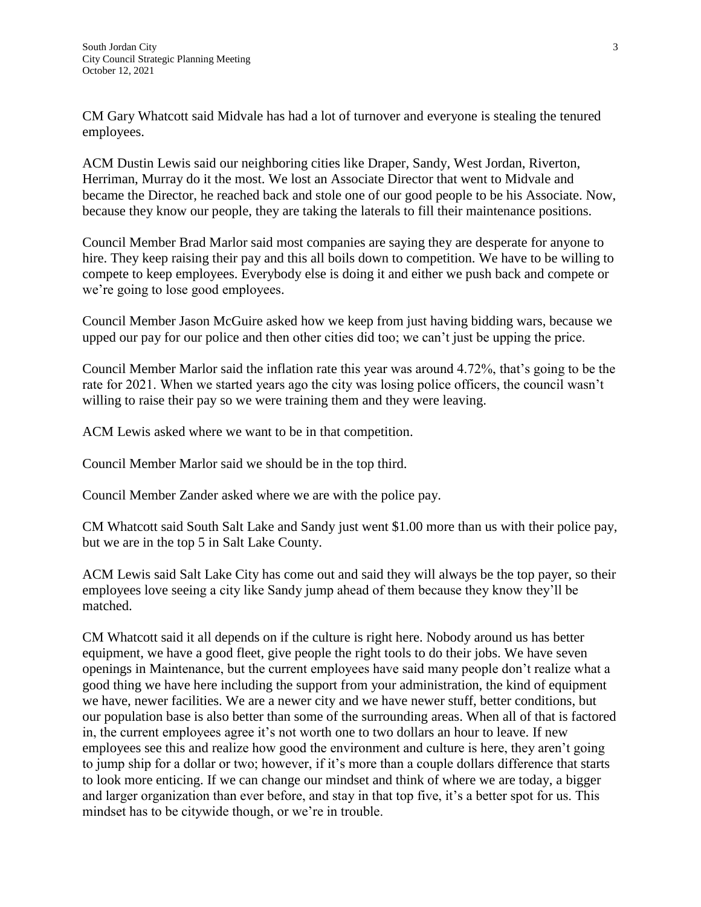CM Gary Whatcott said Midvale has had a lot of turnover and everyone is stealing the tenured employees.

ACM Dustin Lewis said our neighboring cities like Draper, Sandy, West Jordan, Riverton, Herriman, Murray do it the most. We lost an Associate Director that went to Midvale and became the Director, he reached back and stole one of our good people to be his Associate. Now, because they know our people, they are taking the laterals to fill their maintenance positions.

Council Member Brad Marlor said most companies are saying they are desperate for anyone to hire. They keep raising their pay and this all boils down to competition. We have to be willing to compete to keep employees. Everybody else is doing it and either we push back and compete or we're going to lose good employees.

Council Member Jason McGuire asked how we keep from just having bidding wars, because we upped our pay for our police and then other cities did too; we can't just be upping the price.

Council Member Marlor said the inflation rate this year was around 4.72%, that's going to be the rate for 2021. When we started years ago the city was losing police officers, the council wasn't willing to raise their pay so we were training them and they were leaving.

ACM Lewis asked where we want to be in that competition.

Council Member Marlor said we should be in the top third.

Council Member Zander asked where we are with the police pay.

CM Whatcott said South Salt Lake and Sandy just went \$1.00 more than us with their police pay, but we are in the top 5 in Salt Lake County.

ACM Lewis said Salt Lake City has come out and said they will always be the top payer, so their employees love seeing a city like Sandy jump ahead of them because they know they'll be matched.

CM Whatcott said it all depends on if the culture is right here. Nobody around us has better equipment, we have a good fleet, give people the right tools to do their jobs. We have seven openings in Maintenance, but the current employees have said many people don't realize what a good thing we have here including the support from your administration, the kind of equipment we have, newer facilities. We are a newer city and we have newer stuff, better conditions, but our population base is also better than some of the surrounding areas. When all of that is factored in, the current employees agree it's not worth one to two dollars an hour to leave. If new employees see this and realize how good the environment and culture is here, they aren't going to jump ship for a dollar or two; however, if it's more than a couple dollars difference that starts to look more enticing. If we can change our mindset and think of where we are today, a bigger and larger organization than ever before, and stay in that top five, it's a better spot for us. This mindset has to be citywide though, or we're in trouble.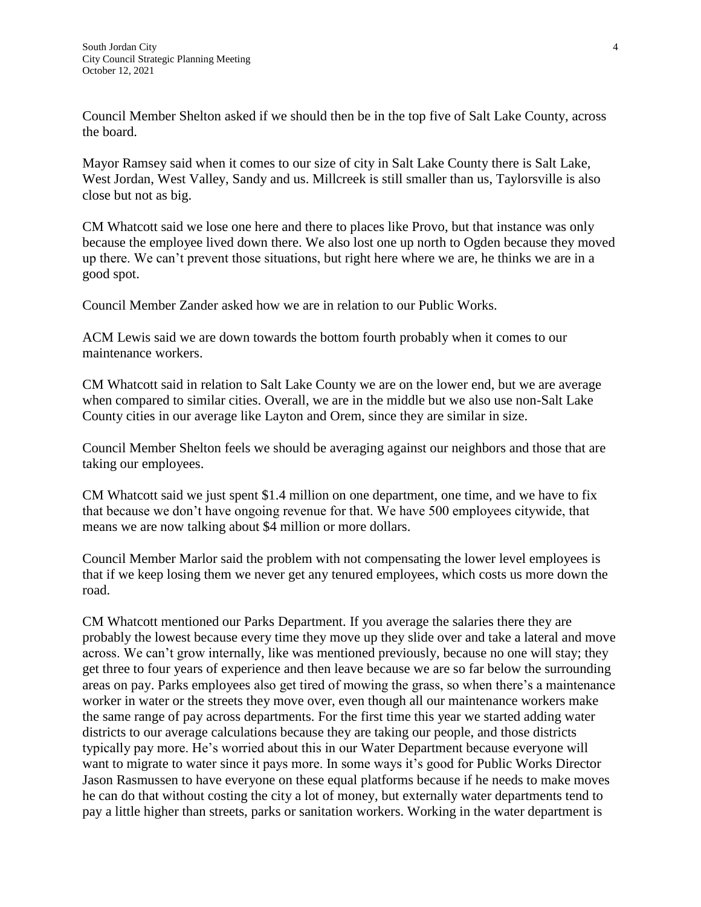Council Member Shelton asked if we should then be in the top five of Salt Lake County, across the board.

Mayor Ramsey said when it comes to our size of city in Salt Lake County there is Salt Lake, West Jordan, West Valley, Sandy and us. Millcreek is still smaller than us, Taylorsville is also close but not as big.

CM Whatcott said we lose one here and there to places like Provo, but that instance was only because the employee lived down there. We also lost one up north to Ogden because they moved up there. We can't prevent those situations, but right here where we are, he thinks we are in a good spot.

Council Member Zander asked how we are in relation to our Public Works.

ACM Lewis said we are down towards the bottom fourth probably when it comes to our maintenance workers.

CM Whatcott said in relation to Salt Lake County we are on the lower end, but we are average when compared to similar cities. Overall, we are in the middle but we also use non-Salt Lake County cities in our average like Layton and Orem, since they are similar in size.

Council Member Shelton feels we should be averaging against our neighbors and those that are taking our employees.

CM Whatcott said we just spent \$1.4 million on one department, one time, and we have to fix that because we don't have ongoing revenue for that. We have 500 employees citywide, that means we are now talking about \$4 million or more dollars.

Council Member Marlor said the problem with not compensating the lower level employees is that if we keep losing them we never get any tenured employees, which costs us more down the road.

CM Whatcott mentioned our Parks Department. If you average the salaries there they are probably the lowest because every time they move up they slide over and take a lateral and move across. We can't grow internally, like was mentioned previously, because no one will stay; they get three to four years of experience and then leave because we are so far below the surrounding areas on pay. Parks employees also get tired of mowing the grass, so when there's a maintenance worker in water or the streets they move over, even though all our maintenance workers make the same range of pay across departments. For the first time this year we started adding water districts to our average calculations because they are taking our people, and those districts typically pay more. He's worried about this in our Water Department because everyone will want to migrate to water since it pays more. In some ways it's good for Public Works Director Jason Rasmussen to have everyone on these equal platforms because if he needs to make moves he can do that without costing the city a lot of money, but externally water departments tend to pay a little higher than streets, parks or sanitation workers. Working in the water department is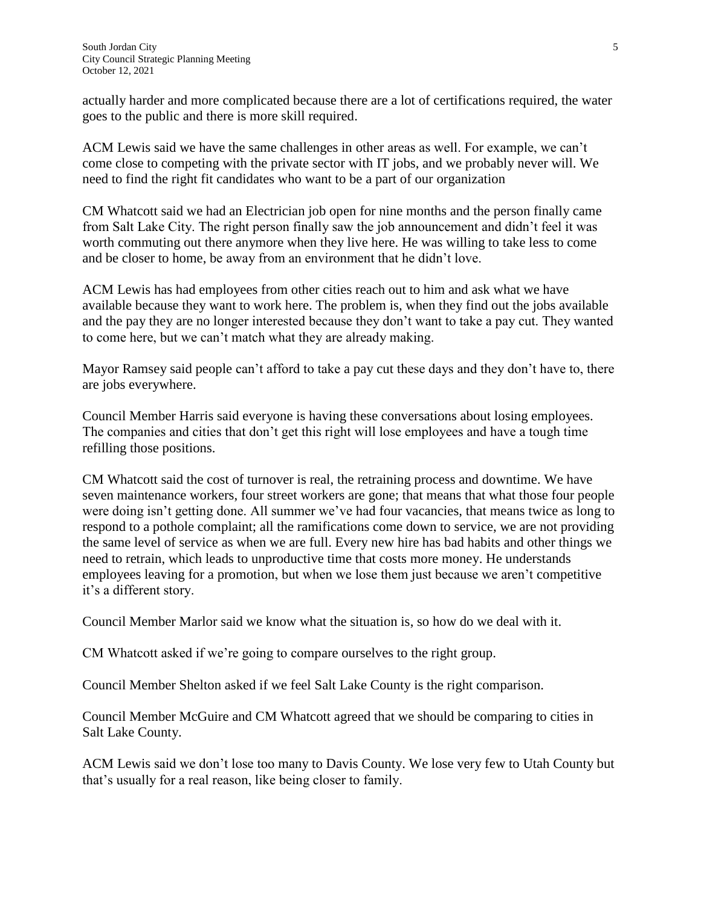actually harder and more complicated because there are a lot of certifications required, the water goes to the public and there is more skill required.

ACM Lewis said we have the same challenges in other areas as well. For example, we can't come close to competing with the private sector with IT jobs, and we probably never will. We need to find the right fit candidates who want to be a part of our organization

CM Whatcott said we had an Electrician job open for nine months and the person finally came from Salt Lake City. The right person finally saw the job announcement and didn't feel it was worth commuting out there anymore when they live here. He was willing to take less to come and be closer to home, be away from an environment that he didn't love.

ACM Lewis has had employees from other cities reach out to him and ask what we have available because they want to work here. The problem is, when they find out the jobs available and the pay they are no longer interested because they don't want to take a pay cut. They wanted to come here, but we can't match what they are already making.

Mayor Ramsey said people can't afford to take a pay cut these days and they don't have to, there are jobs everywhere.

Council Member Harris said everyone is having these conversations about losing employees. The companies and cities that don't get this right will lose employees and have a tough time refilling those positions.

CM Whatcott said the cost of turnover is real, the retraining process and downtime. We have seven maintenance workers, four street workers are gone; that means that what those four people were doing isn't getting done. All summer we've had four vacancies, that means twice as long to respond to a pothole complaint; all the ramifications come down to service, we are not providing the same level of service as when we are full. Every new hire has bad habits and other things we need to retrain, which leads to unproductive time that costs more money. He understands employees leaving for a promotion, but when we lose them just because we aren't competitive it's a different story.

Council Member Marlor said we know what the situation is, so how do we deal with it.

CM Whatcott asked if we're going to compare ourselves to the right group.

Council Member Shelton asked if we feel Salt Lake County is the right comparison.

Council Member McGuire and CM Whatcott agreed that we should be comparing to cities in Salt Lake County.

ACM Lewis said we don't lose too many to Davis County. We lose very few to Utah County but that's usually for a real reason, like being closer to family.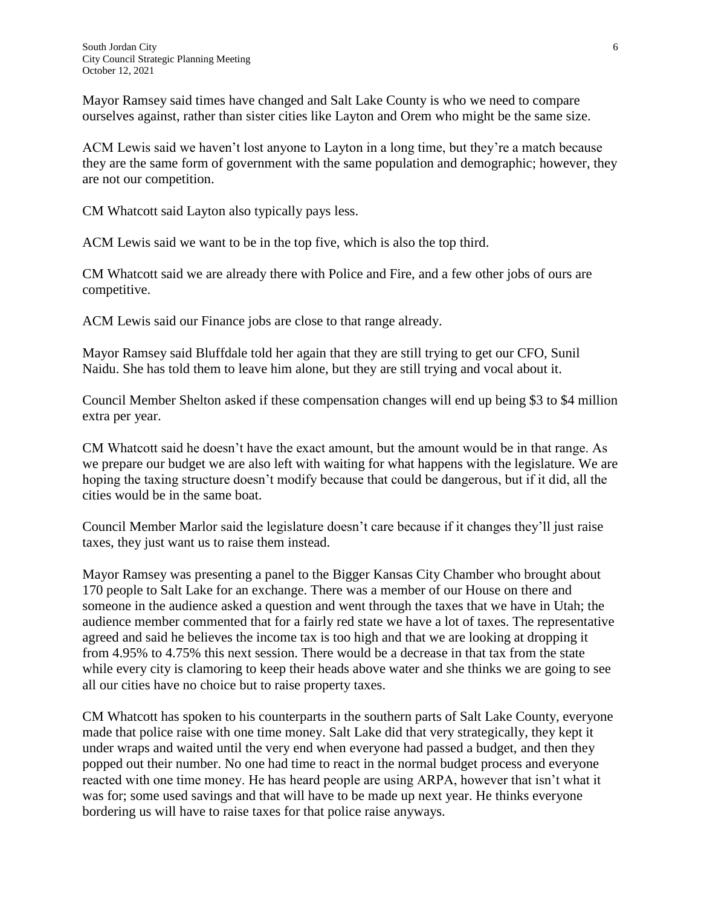Mayor Ramsey said times have changed and Salt Lake County is who we need to compare ourselves against, rather than sister cities like Layton and Orem who might be the same size.

ACM Lewis said we haven't lost anyone to Layton in a long time, but they're a match because they are the same form of government with the same population and demographic; however, they are not our competition.

CM Whatcott said Layton also typically pays less.

ACM Lewis said we want to be in the top five, which is also the top third.

CM Whatcott said we are already there with Police and Fire, and a few other jobs of ours are competitive.

ACM Lewis said our Finance jobs are close to that range already.

Mayor Ramsey said Bluffdale told her again that they are still trying to get our CFO, Sunil Naidu. She has told them to leave him alone, but they are still trying and vocal about it.

Council Member Shelton asked if these compensation changes will end up being \$3 to \$4 million extra per year.

CM Whatcott said he doesn't have the exact amount, but the amount would be in that range. As we prepare our budget we are also left with waiting for what happens with the legislature. We are hoping the taxing structure doesn't modify because that could be dangerous, but if it did, all the cities would be in the same boat.

Council Member Marlor said the legislature doesn't care because if it changes they'll just raise taxes, they just want us to raise them instead.

Mayor Ramsey was presenting a panel to the Bigger Kansas City Chamber who brought about 170 people to Salt Lake for an exchange. There was a member of our House on there and someone in the audience asked a question and went through the taxes that we have in Utah; the audience member commented that for a fairly red state we have a lot of taxes. The representative agreed and said he believes the income tax is too high and that we are looking at dropping it from 4.95% to 4.75% this next session. There would be a decrease in that tax from the state while every city is clamoring to keep their heads above water and she thinks we are going to see all our cities have no choice but to raise property taxes.

CM Whatcott has spoken to his counterparts in the southern parts of Salt Lake County, everyone made that police raise with one time money. Salt Lake did that very strategically, they kept it under wraps and waited until the very end when everyone had passed a budget, and then they popped out their number. No one had time to react in the normal budget process and everyone reacted with one time money. He has heard people are using ARPA, however that isn't what it was for; some used savings and that will have to be made up next year. He thinks everyone bordering us will have to raise taxes for that police raise anyways.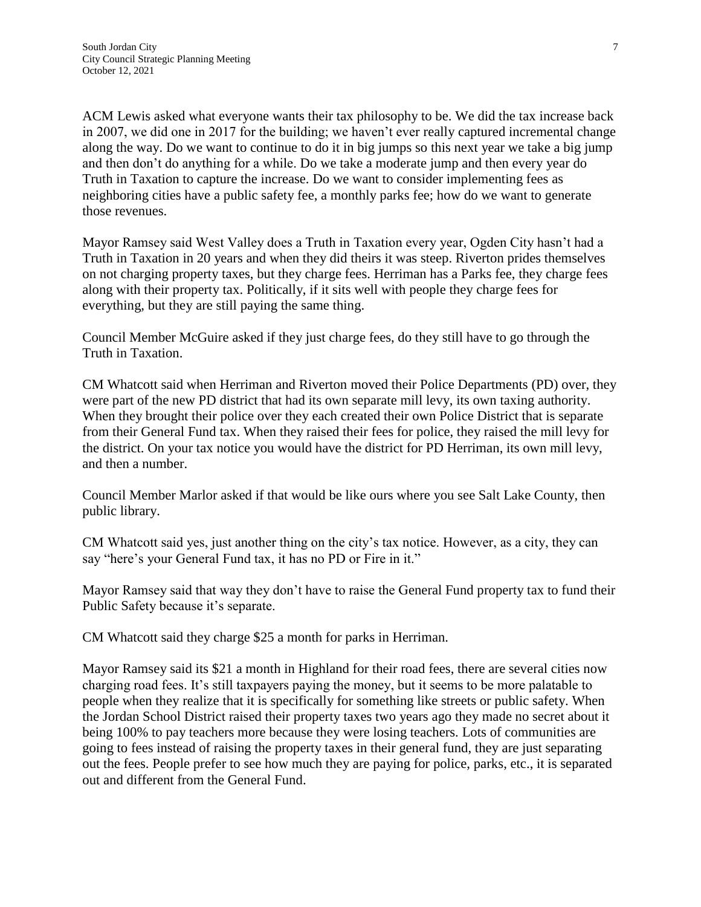ACM Lewis asked what everyone wants their tax philosophy to be. We did the tax increase back in 2007, we did one in 2017 for the building; we haven't ever really captured incremental change along the way. Do we want to continue to do it in big jumps so this next year we take a big jump and then don't do anything for a while. Do we take a moderate jump and then every year do Truth in Taxation to capture the increase. Do we want to consider implementing fees as neighboring cities have a public safety fee, a monthly parks fee; how do we want to generate those revenues.

Mayor Ramsey said West Valley does a Truth in Taxation every year, Ogden City hasn't had a Truth in Taxation in 20 years and when they did theirs it was steep. Riverton prides themselves on not charging property taxes, but they charge fees. Herriman has a Parks fee, they charge fees along with their property tax. Politically, if it sits well with people they charge fees for everything, but they are still paying the same thing.

Council Member McGuire asked if they just charge fees, do they still have to go through the Truth in Taxation.

CM Whatcott said when Herriman and Riverton moved their Police Departments (PD) over, they were part of the new PD district that had its own separate mill levy, its own taxing authority. When they brought their police over they each created their own Police District that is separate from their General Fund tax. When they raised their fees for police, they raised the mill levy for the district. On your tax notice you would have the district for PD Herriman, its own mill levy, and then a number.

Council Member Marlor asked if that would be like ours where you see Salt Lake County, then public library.

CM Whatcott said yes, just another thing on the city's tax notice. However, as a city, they can say "here's your General Fund tax, it has no PD or Fire in it."

Mayor Ramsey said that way they don't have to raise the General Fund property tax to fund their Public Safety because it's separate.

CM Whatcott said they charge \$25 a month for parks in Herriman.

Mayor Ramsey said its \$21 a month in Highland for their road fees, there are several cities now charging road fees. It's still taxpayers paying the money, but it seems to be more palatable to people when they realize that it is specifically for something like streets or public safety. When the Jordan School District raised their property taxes two years ago they made no secret about it being 100% to pay teachers more because they were losing teachers. Lots of communities are going to fees instead of raising the property taxes in their general fund, they are just separating out the fees. People prefer to see how much they are paying for police, parks, etc., it is separated out and different from the General Fund.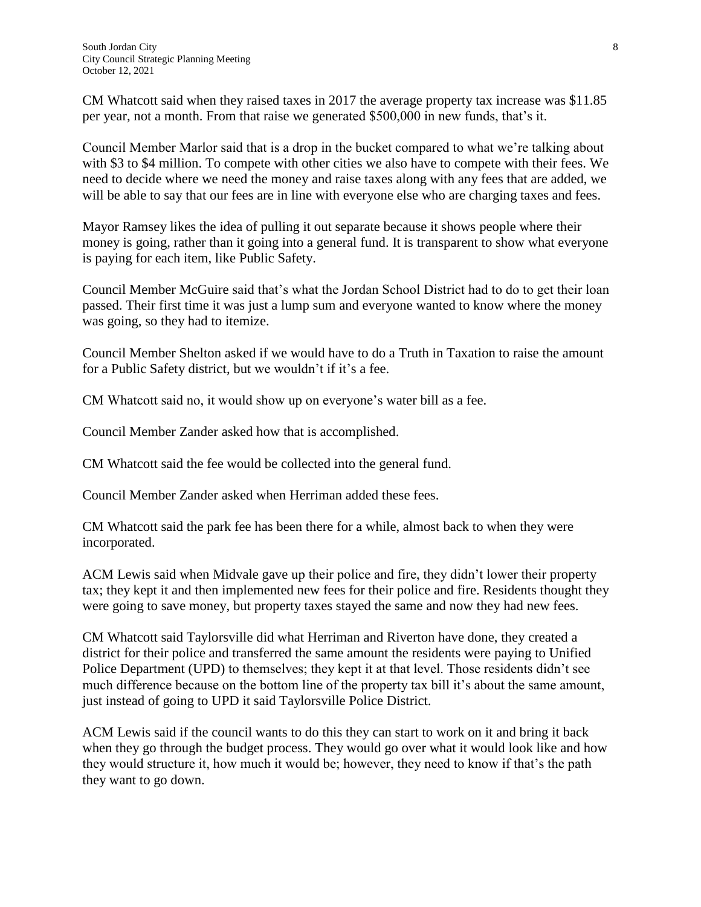CM Whatcott said when they raised taxes in 2017 the average property tax increase was \$11.85 per year, not a month. From that raise we generated \$500,000 in new funds, that's it.

Council Member Marlor said that is a drop in the bucket compared to what we're talking about with \$3 to \$4 million. To compete with other cities we also have to compete with their fees. We need to decide where we need the money and raise taxes along with any fees that are added, we will be able to say that our fees are in line with everyone else who are charging taxes and fees.

Mayor Ramsey likes the idea of pulling it out separate because it shows people where their money is going, rather than it going into a general fund. It is transparent to show what everyone is paying for each item, like Public Safety.

Council Member McGuire said that's what the Jordan School District had to do to get their loan passed. Their first time it was just a lump sum and everyone wanted to know where the money was going, so they had to itemize.

Council Member Shelton asked if we would have to do a Truth in Taxation to raise the amount for a Public Safety district, but we wouldn't if it's a fee.

CM Whatcott said no, it would show up on everyone's water bill as a fee.

Council Member Zander asked how that is accomplished.

CM Whatcott said the fee would be collected into the general fund.

Council Member Zander asked when Herriman added these fees.

CM Whatcott said the park fee has been there for a while, almost back to when they were incorporated.

ACM Lewis said when Midvale gave up their police and fire, they didn't lower their property tax; they kept it and then implemented new fees for their police and fire. Residents thought they were going to save money, but property taxes stayed the same and now they had new fees.

CM Whatcott said Taylorsville did what Herriman and Riverton have done, they created a district for their police and transferred the same amount the residents were paying to Unified Police Department (UPD) to themselves; they kept it at that level. Those residents didn't see much difference because on the bottom line of the property tax bill it's about the same amount, just instead of going to UPD it said Taylorsville Police District.

ACM Lewis said if the council wants to do this they can start to work on it and bring it back when they go through the budget process. They would go over what it would look like and how they would structure it, how much it would be; however, they need to know if that's the path they want to go down.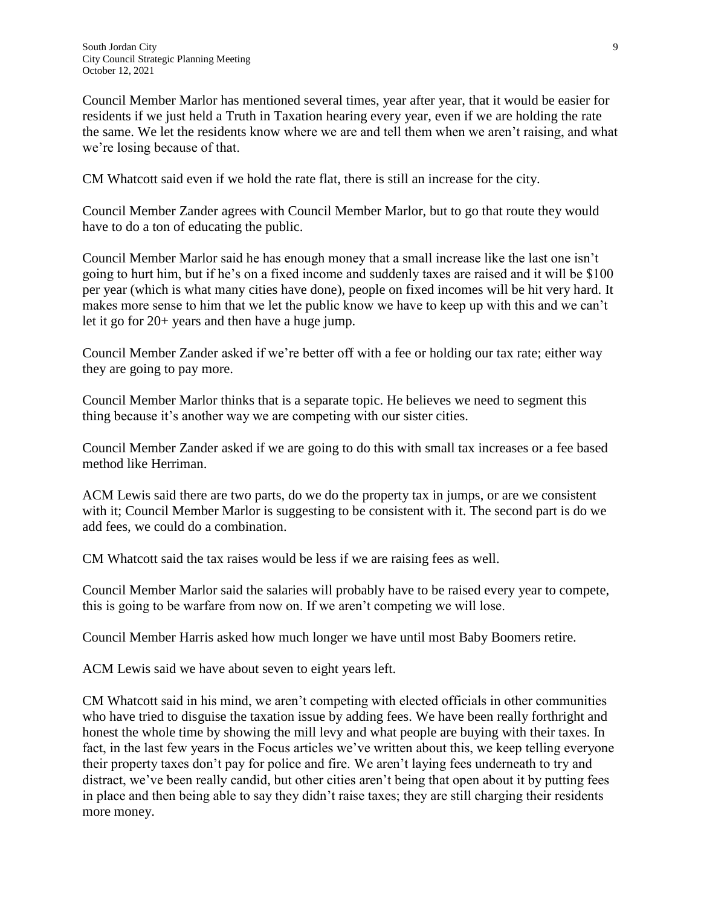Council Member Marlor has mentioned several times, year after year, that it would be easier for residents if we just held a Truth in Taxation hearing every year, even if we are holding the rate the same. We let the residents know where we are and tell them when we aren't raising, and what we're losing because of that.

CM Whatcott said even if we hold the rate flat, there is still an increase for the city.

Council Member Zander agrees with Council Member Marlor, but to go that route they would have to do a ton of educating the public.

Council Member Marlor said he has enough money that a small increase like the last one isn't going to hurt him, but if he's on a fixed income and suddenly taxes are raised and it will be \$100 per year (which is what many cities have done), people on fixed incomes will be hit very hard. It makes more sense to him that we let the public know we have to keep up with this and we can't let it go for 20+ years and then have a huge jump.

Council Member Zander asked if we're better off with a fee or holding our tax rate; either way they are going to pay more.

Council Member Marlor thinks that is a separate topic. He believes we need to segment this thing because it's another way we are competing with our sister cities.

Council Member Zander asked if we are going to do this with small tax increases or a fee based method like Herriman.

ACM Lewis said there are two parts, do we do the property tax in jumps, or are we consistent with it; Council Member Marlor is suggesting to be consistent with it. The second part is do we add fees, we could do a combination.

CM Whatcott said the tax raises would be less if we are raising fees as well.

Council Member Marlor said the salaries will probably have to be raised every year to compete, this is going to be warfare from now on. If we aren't competing we will lose.

Council Member Harris asked how much longer we have until most Baby Boomers retire.

ACM Lewis said we have about seven to eight years left.

CM Whatcott said in his mind, we aren't competing with elected officials in other communities who have tried to disguise the taxation issue by adding fees. We have been really forthright and honest the whole time by showing the mill levy and what people are buying with their taxes. In fact, in the last few years in the Focus articles we've written about this, we keep telling everyone their property taxes don't pay for police and fire. We aren't laying fees underneath to try and distract, we've been really candid, but other cities aren't being that open about it by putting fees in place and then being able to say they didn't raise taxes; they are still charging their residents more money.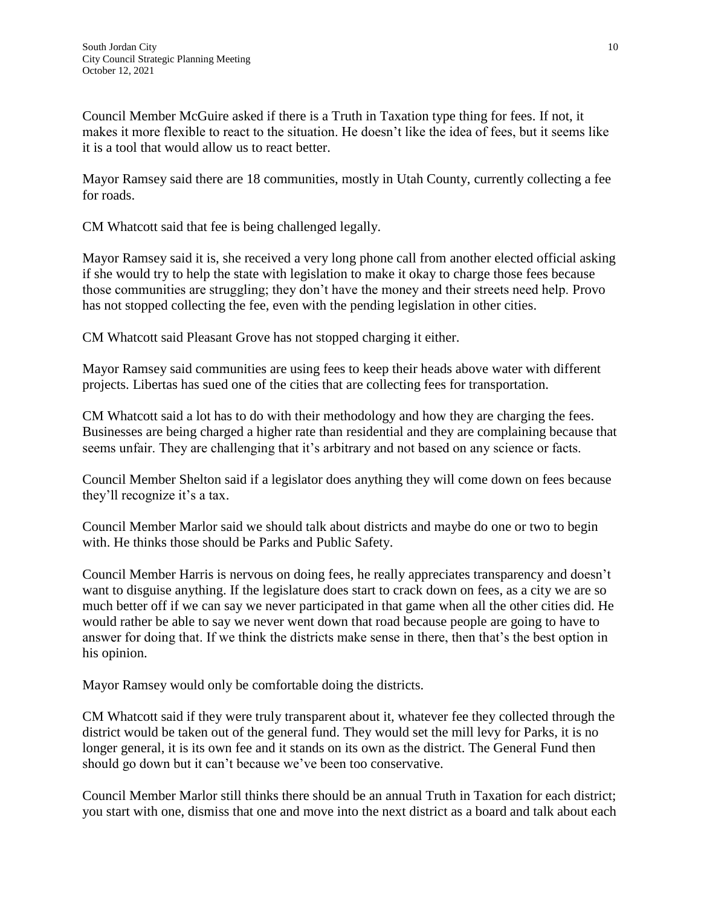Council Member McGuire asked if there is a Truth in Taxation type thing for fees. If not, it makes it more flexible to react to the situation. He doesn't like the idea of fees, but it seems like it is a tool that would allow us to react better.

Mayor Ramsey said there are 18 communities, mostly in Utah County, currently collecting a fee for roads.

CM Whatcott said that fee is being challenged legally.

Mayor Ramsey said it is, she received a very long phone call from another elected official asking if she would try to help the state with legislation to make it okay to charge those fees because those communities are struggling; they don't have the money and their streets need help. Provo has not stopped collecting the fee, even with the pending legislation in other cities.

CM Whatcott said Pleasant Grove has not stopped charging it either.

Mayor Ramsey said communities are using fees to keep their heads above water with different projects. Libertas has sued one of the cities that are collecting fees for transportation.

CM Whatcott said a lot has to do with their methodology and how they are charging the fees. Businesses are being charged a higher rate than residential and they are complaining because that seems unfair. They are challenging that it's arbitrary and not based on any science or facts.

Council Member Shelton said if a legislator does anything they will come down on fees because they'll recognize it's a tax.

Council Member Marlor said we should talk about districts and maybe do one or two to begin with. He thinks those should be Parks and Public Safety.

Council Member Harris is nervous on doing fees, he really appreciates transparency and doesn't want to disguise anything. If the legislature does start to crack down on fees, as a city we are so much better off if we can say we never participated in that game when all the other cities did. He would rather be able to say we never went down that road because people are going to have to answer for doing that. If we think the districts make sense in there, then that's the best option in his opinion.

Mayor Ramsey would only be comfortable doing the districts.

CM Whatcott said if they were truly transparent about it, whatever fee they collected through the district would be taken out of the general fund. They would set the mill levy for Parks, it is no longer general, it is its own fee and it stands on its own as the district. The General Fund then should go down but it can't because we've been too conservative.

Council Member Marlor still thinks there should be an annual Truth in Taxation for each district; you start with one, dismiss that one and move into the next district as a board and talk about each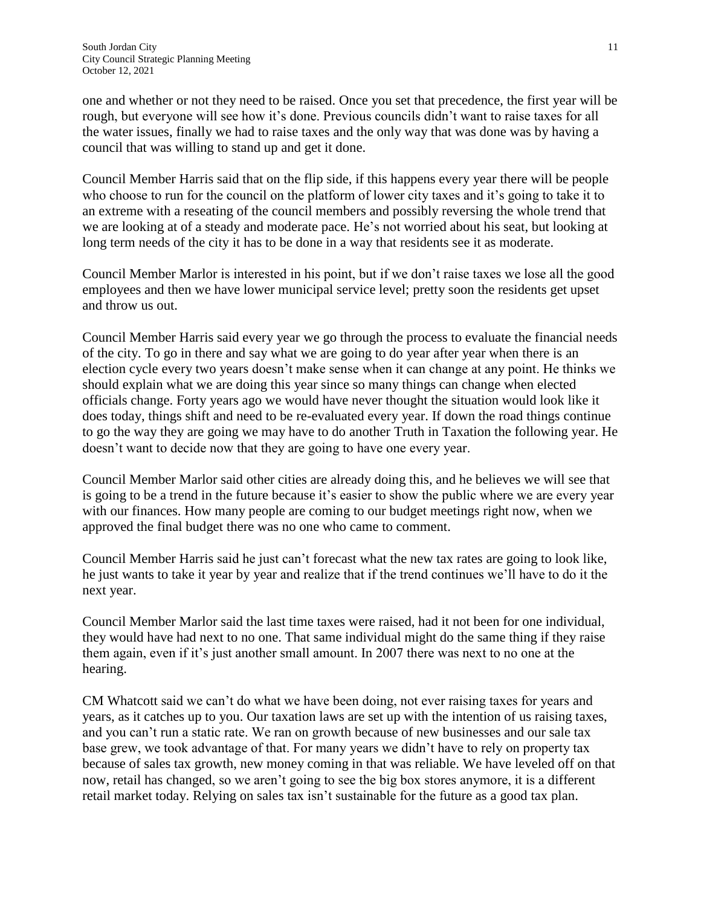one and whether or not they need to be raised. Once you set that precedence, the first year will be rough, but everyone will see how it's done. Previous councils didn't want to raise taxes for all the water issues, finally we had to raise taxes and the only way that was done was by having a council that was willing to stand up and get it done.

Council Member Harris said that on the flip side, if this happens every year there will be people who choose to run for the council on the platform of lower city taxes and it's going to take it to an extreme with a reseating of the council members and possibly reversing the whole trend that we are looking at of a steady and moderate pace. He's not worried about his seat, but looking at long term needs of the city it has to be done in a way that residents see it as moderate.

Council Member Marlor is interested in his point, but if we don't raise taxes we lose all the good employees and then we have lower municipal service level; pretty soon the residents get upset and throw us out.

Council Member Harris said every year we go through the process to evaluate the financial needs of the city. To go in there and say what we are going to do year after year when there is an election cycle every two years doesn't make sense when it can change at any point. He thinks we should explain what we are doing this year since so many things can change when elected officials change. Forty years ago we would have never thought the situation would look like it does today, things shift and need to be re-evaluated every year. If down the road things continue to go the way they are going we may have to do another Truth in Taxation the following year. He doesn't want to decide now that they are going to have one every year.

Council Member Marlor said other cities are already doing this, and he believes we will see that is going to be a trend in the future because it's easier to show the public where we are every year with our finances. How many people are coming to our budget meetings right now, when we approved the final budget there was no one who came to comment.

Council Member Harris said he just can't forecast what the new tax rates are going to look like, he just wants to take it year by year and realize that if the trend continues we'll have to do it the next year.

Council Member Marlor said the last time taxes were raised, had it not been for one individual, they would have had next to no one. That same individual might do the same thing if they raise them again, even if it's just another small amount. In 2007 there was next to no one at the hearing.

CM Whatcott said we can't do what we have been doing, not ever raising taxes for years and years, as it catches up to you. Our taxation laws are set up with the intention of us raising taxes, and you can't run a static rate. We ran on growth because of new businesses and our sale tax base grew, we took advantage of that. For many years we didn't have to rely on property tax because of sales tax growth, new money coming in that was reliable. We have leveled off on that now, retail has changed, so we aren't going to see the big box stores anymore, it is a different retail market today. Relying on sales tax isn't sustainable for the future as a good tax plan.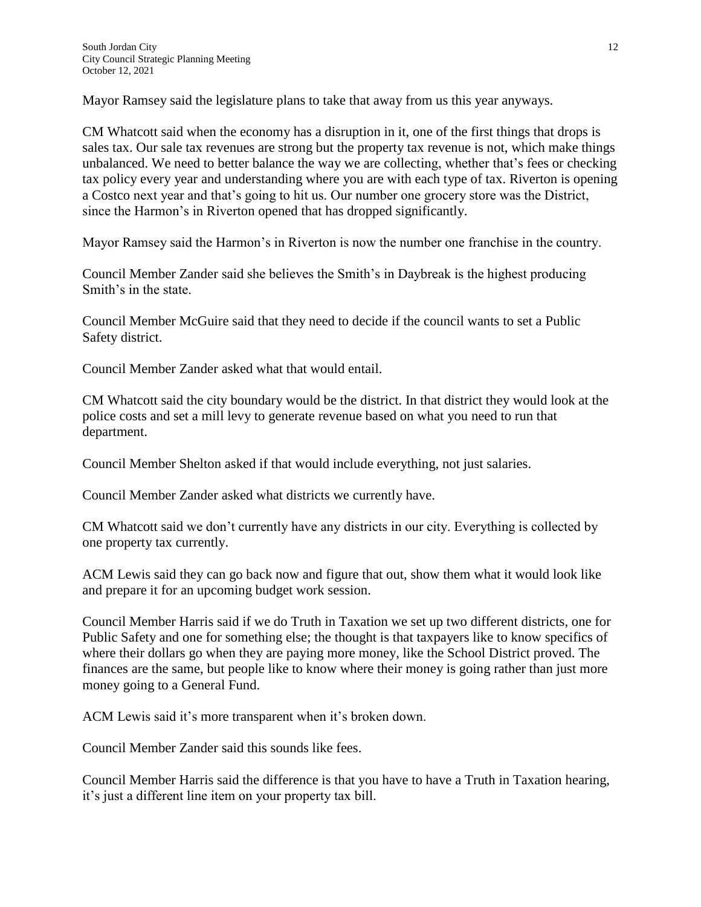Mayor Ramsey said the legislature plans to take that away from us this year anyways.

CM Whatcott said when the economy has a disruption in it, one of the first things that drops is sales tax. Our sale tax revenues are strong but the property tax revenue is not, which make things unbalanced. We need to better balance the way we are collecting, whether that's fees or checking tax policy every year and understanding where you are with each type of tax. Riverton is opening a Costco next year and that's going to hit us. Our number one grocery store was the District, since the Harmon's in Riverton opened that has dropped significantly.

Mayor Ramsey said the Harmon's in Riverton is now the number one franchise in the country.

Council Member Zander said she believes the Smith's in Daybreak is the highest producing Smith's in the state.

Council Member McGuire said that they need to decide if the council wants to set a Public Safety district.

Council Member Zander asked what that would entail.

CM Whatcott said the city boundary would be the district. In that district they would look at the police costs and set a mill levy to generate revenue based on what you need to run that department.

Council Member Shelton asked if that would include everything, not just salaries.

Council Member Zander asked what districts we currently have.

CM Whatcott said we don't currently have any districts in our city. Everything is collected by one property tax currently.

ACM Lewis said they can go back now and figure that out, show them what it would look like and prepare it for an upcoming budget work session.

Council Member Harris said if we do Truth in Taxation we set up two different districts, one for Public Safety and one for something else; the thought is that taxpayers like to know specifics of where their dollars go when they are paying more money, like the School District proved. The finances are the same, but people like to know where their money is going rather than just more money going to a General Fund.

ACM Lewis said it's more transparent when it's broken down.

Council Member Zander said this sounds like fees.

Council Member Harris said the difference is that you have to have a Truth in Taxation hearing, it's just a different line item on your property tax bill.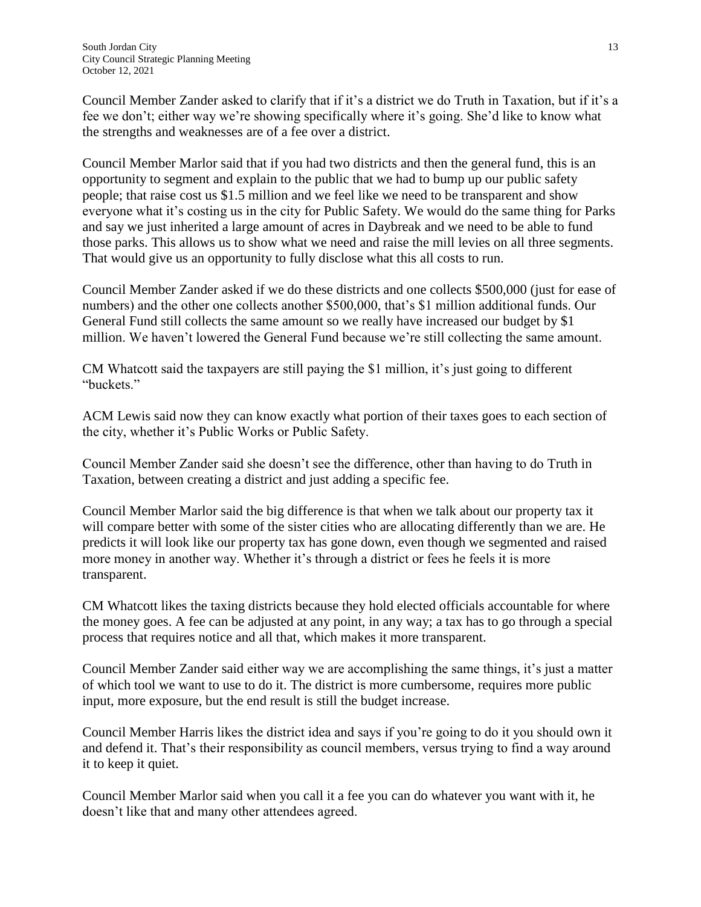Council Member Zander asked to clarify that if it's a district we do Truth in Taxation, but if it's a fee we don't; either way we're showing specifically where it's going. She'd like to know what the strengths and weaknesses are of a fee over a district.

Council Member Marlor said that if you had two districts and then the general fund, this is an opportunity to segment and explain to the public that we had to bump up our public safety people; that raise cost us \$1.5 million and we feel like we need to be transparent and show everyone what it's costing us in the city for Public Safety. We would do the same thing for Parks and say we just inherited a large amount of acres in Daybreak and we need to be able to fund those parks. This allows us to show what we need and raise the mill levies on all three segments. That would give us an opportunity to fully disclose what this all costs to run.

Council Member Zander asked if we do these districts and one collects \$500,000 (just for ease of numbers) and the other one collects another \$500,000, that's \$1 million additional funds. Our General Fund still collects the same amount so we really have increased our budget by \$1 million. We haven't lowered the General Fund because we're still collecting the same amount.

CM Whatcott said the taxpayers are still paying the \$1 million, it's just going to different "buckets."

ACM Lewis said now they can know exactly what portion of their taxes goes to each section of the city, whether it's Public Works or Public Safety.

Council Member Zander said she doesn't see the difference, other than having to do Truth in Taxation, between creating a district and just adding a specific fee.

Council Member Marlor said the big difference is that when we talk about our property tax it will compare better with some of the sister cities who are allocating differently than we are. He predicts it will look like our property tax has gone down, even though we segmented and raised more money in another way. Whether it's through a district or fees he feels it is more transparent.

CM Whatcott likes the taxing districts because they hold elected officials accountable for where the money goes. A fee can be adjusted at any point, in any way; a tax has to go through a special process that requires notice and all that, which makes it more transparent.

Council Member Zander said either way we are accomplishing the same things, it's just a matter of which tool we want to use to do it. The district is more cumbersome, requires more public input, more exposure, but the end result is still the budget increase.

Council Member Harris likes the district idea and says if you're going to do it you should own it and defend it. That's their responsibility as council members, versus trying to find a way around it to keep it quiet.

Council Member Marlor said when you call it a fee you can do whatever you want with it, he doesn't like that and many other attendees agreed.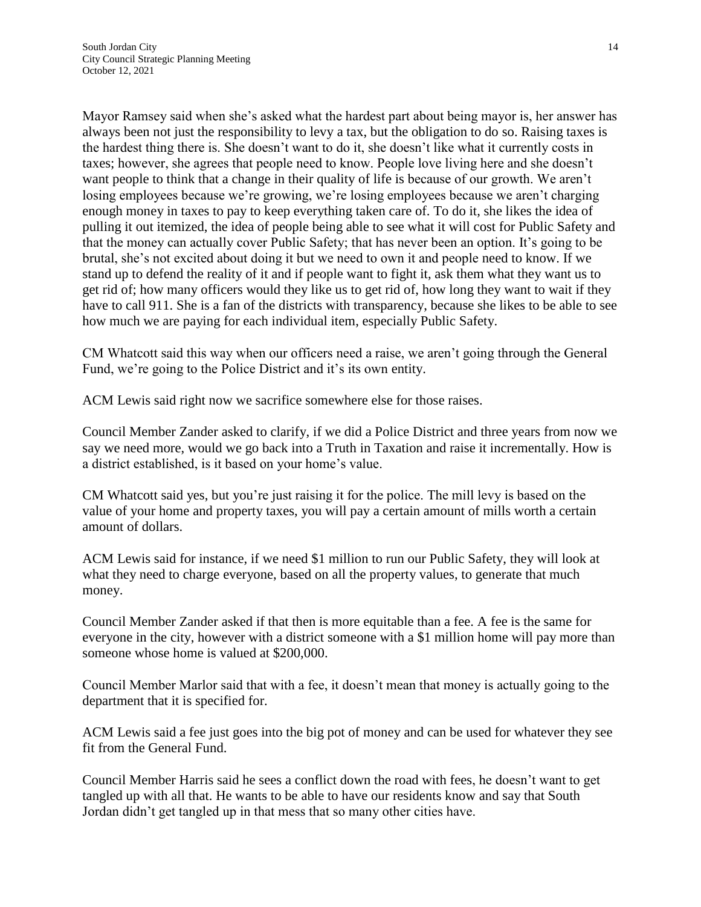Mayor Ramsey said when she's asked what the hardest part about being mayor is, her answer has always been not just the responsibility to levy a tax, but the obligation to do so. Raising taxes is the hardest thing there is. She doesn't want to do it, she doesn't like what it currently costs in taxes; however, she agrees that people need to know. People love living here and she doesn't want people to think that a change in their quality of life is because of our growth. We aren't losing employees because we're growing, we're losing employees because we aren't charging enough money in taxes to pay to keep everything taken care of. To do it, she likes the idea of pulling it out itemized, the idea of people being able to see what it will cost for Public Safety and that the money can actually cover Public Safety; that has never been an option. It's going to be brutal, she's not excited about doing it but we need to own it and people need to know. If we stand up to defend the reality of it and if people want to fight it, ask them what they want us to get rid of; how many officers would they like us to get rid of, how long they want to wait if they have to call 911. She is a fan of the districts with transparency, because she likes to be able to see how much we are paying for each individual item, especially Public Safety.

CM Whatcott said this way when our officers need a raise, we aren't going through the General Fund, we're going to the Police District and it's its own entity.

ACM Lewis said right now we sacrifice somewhere else for those raises.

Council Member Zander asked to clarify, if we did a Police District and three years from now we say we need more, would we go back into a Truth in Taxation and raise it incrementally. How is a district established, is it based on your home's value.

CM Whatcott said yes, but you're just raising it for the police. The mill levy is based on the value of your home and property taxes, you will pay a certain amount of mills worth a certain amount of dollars.

ACM Lewis said for instance, if we need \$1 million to run our Public Safety, they will look at what they need to charge everyone, based on all the property values, to generate that much money.

Council Member Zander asked if that then is more equitable than a fee. A fee is the same for everyone in the city, however with a district someone with a \$1 million home will pay more than someone whose home is valued at \$200,000.

Council Member Marlor said that with a fee, it doesn't mean that money is actually going to the department that it is specified for.

ACM Lewis said a fee just goes into the big pot of money and can be used for whatever they see fit from the General Fund.

Council Member Harris said he sees a conflict down the road with fees, he doesn't want to get tangled up with all that. He wants to be able to have our residents know and say that South Jordan didn't get tangled up in that mess that so many other cities have.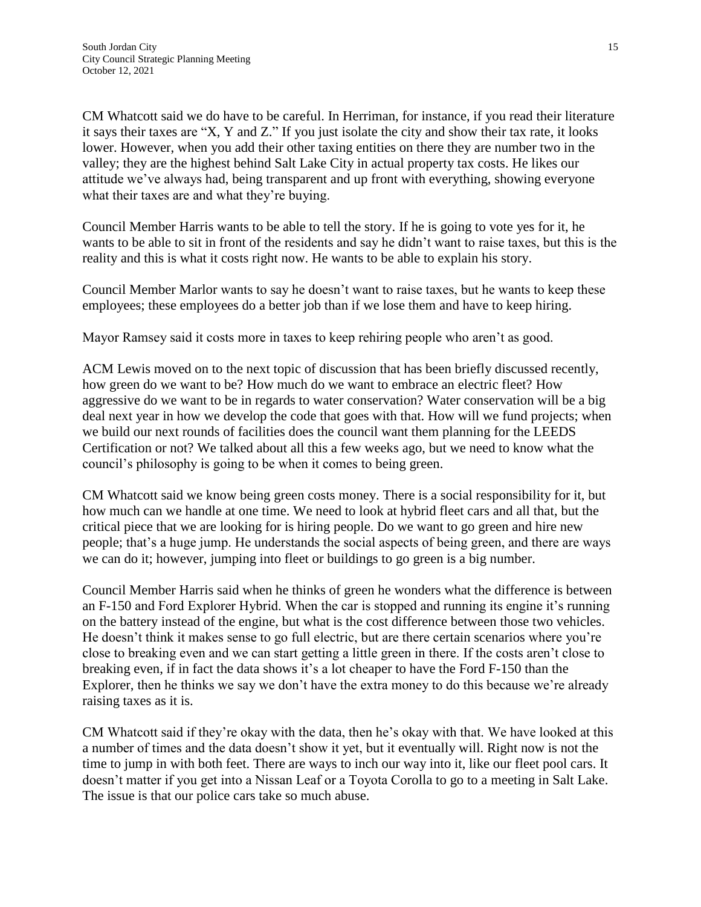CM Whatcott said we do have to be careful. In Herriman, for instance, if you read their literature it says their taxes are "X, Y and Z." If you just isolate the city and show their tax rate, it looks lower. However, when you add their other taxing entities on there they are number two in the valley; they are the highest behind Salt Lake City in actual property tax costs. He likes our attitude we've always had, being transparent and up front with everything, showing everyone what their taxes are and what they're buying.

Council Member Harris wants to be able to tell the story. If he is going to vote yes for it, he wants to be able to sit in front of the residents and say he didn't want to raise taxes, but this is the reality and this is what it costs right now. He wants to be able to explain his story.

Council Member Marlor wants to say he doesn't want to raise taxes, but he wants to keep these employees; these employees do a better job than if we lose them and have to keep hiring.

Mayor Ramsey said it costs more in taxes to keep rehiring people who aren't as good.

ACM Lewis moved on to the next topic of discussion that has been briefly discussed recently, how green do we want to be? How much do we want to embrace an electric fleet? How aggressive do we want to be in regards to water conservation? Water conservation will be a big deal next year in how we develop the code that goes with that. How will we fund projects; when we build our next rounds of facilities does the council want them planning for the LEEDS Certification or not? We talked about all this a few weeks ago, but we need to know what the council's philosophy is going to be when it comes to being green.

CM Whatcott said we know being green costs money. There is a social responsibility for it, but how much can we handle at one time. We need to look at hybrid fleet cars and all that, but the critical piece that we are looking for is hiring people. Do we want to go green and hire new people; that's a huge jump. He understands the social aspects of being green, and there are ways we can do it; however, jumping into fleet or buildings to go green is a big number.

Council Member Harris said when he thinks of green he wonders what the difference is between an F-150 and Ford Explorer Hybrid. When the car is stopped and running its engine it's running on the battery instead of the engine, but what is the cost difference between those two vehicles. He doesn't think it makes sense to go full electric, but are there certain scenarios where you're close to breaking even and we can start getting a little green in there. If the costs aren't close to breaking even, if in fact the data shows it's a lot cheaper to have the Ford F-150 than the Explorer, then he thinks we say we don't have the extra money to do this because we're already raising taxes as it is.

CM Whatcott said if they're okay with the data, then he's okay with that. We have looked at this a number of times and the data doesn't show it yet, but it eventually will. Right now is not the time to jump in with both feet. There are ways to inch our way into it, like our fleet pool cars. It doesn't matter if you get into a Nissan Leaf or a Toyota Corolla to go to a meeting in Salt Lake. The issue is that our police cars take so much abuse.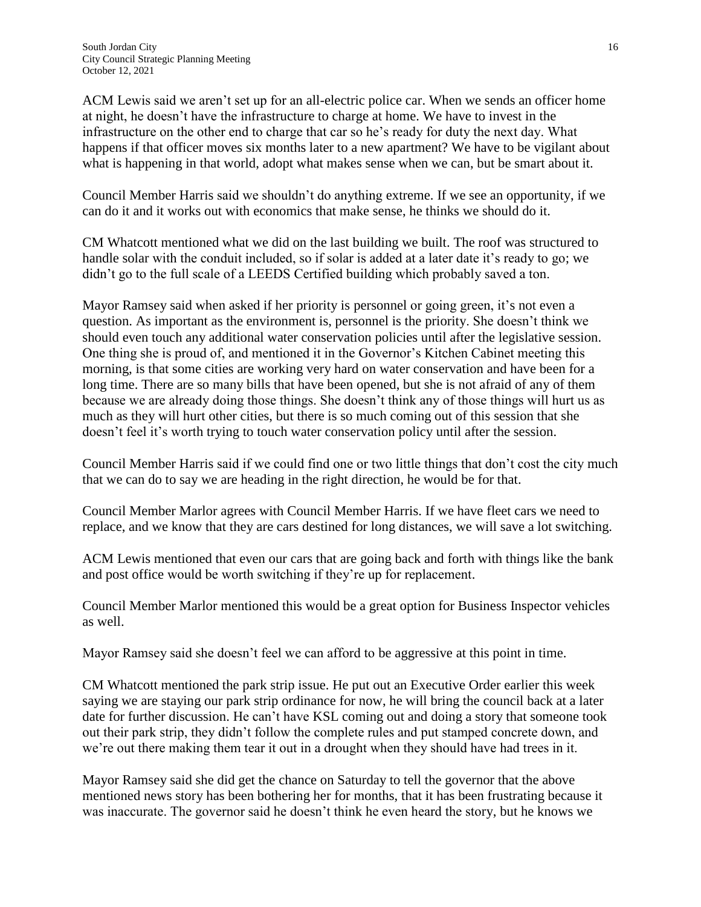ACM Lewis said we aren't set up for an all-electric police car. When we sends an officer home at night, he doesn't have the infrastructure to charge at home. We have to invest in the infrastructure on the other end to charge that car so he's ready for duty the next day. What happens if that officer moves six months later to a new apartment? We have to be vigilant about what is happening in that world, adopt what makes sense when we can, but be smart about it.

Council Member Harris said we shouldn't do anything extreme. If we see an opportunity, if we can do it and it works out with economics that make sense, he thinks we should do it.

CM Whatcott mentioned what we did on the last building we built. The roof was structured to handle solar with the conduit included, so if solar is added at a later date it's ready to go; we didn't go to the full scale of a LEEDS Certified building which probably saved a ton.

Mayor Ramsey said when asked if her priority is personnel or going green, it's not even a question. As important as the environment is, personnel is the priority. She doesn't think we should even touch any additional water conservation policies until after the legislative session. One thing she is proud of, and mentioned it in the Governor's Kitchen Cabinet meeting this morning, is that some cities are working very hard on water conservation and have been for a long time. There are so many bills that have been opened, but she is not afraid of any of them because we are already doing those things. She doesn't think any of those things will hurt us as much as they will hurt other cities, but there is so much coming out of this session that she doesn't feel it's worth trying to touch water conservation policy until after the session.

Council Member Harris said if we could find one or two little things that don't cost the city much that we can do to say we are heading in the right direction, he would be for that.

Council Member Marlor agrees with Council Member Harris. If we have fleet cars we need to replace, and we know that they are cars destined for long distances, we will save a lot switching.

ACM Lewis mentioned that even our cars that are going back and forth with things like the bank and post office would be worth switching if they're up for replacement.

Council Member Marlor mentioned this would be a great option for Business Inspector vehicles as well.

Mayor Ramsey said she doesn't feel we can afford to be aggressive at this point in time.

CM Whatcott mentioned the park strip issue. He put out an Executive Order earlier this week saying we are staying our park strip ordinance for now, he will bring the council back at a later date for further discussion. He can't have KSL coming out and doing a story that someone took out their park strip, they didn't follow the complete rules and put stamped concrete down, and we're out there making them tear it out in a drought when they should have had trees in it.

Mayor Ramsey said she did get the chance on Saturday to tell the governor that the above mentioned news story has been bothering her for months, that it has been frustrating because it was inaccurate. The governor said he doesn't think he even heard the story, but he knows we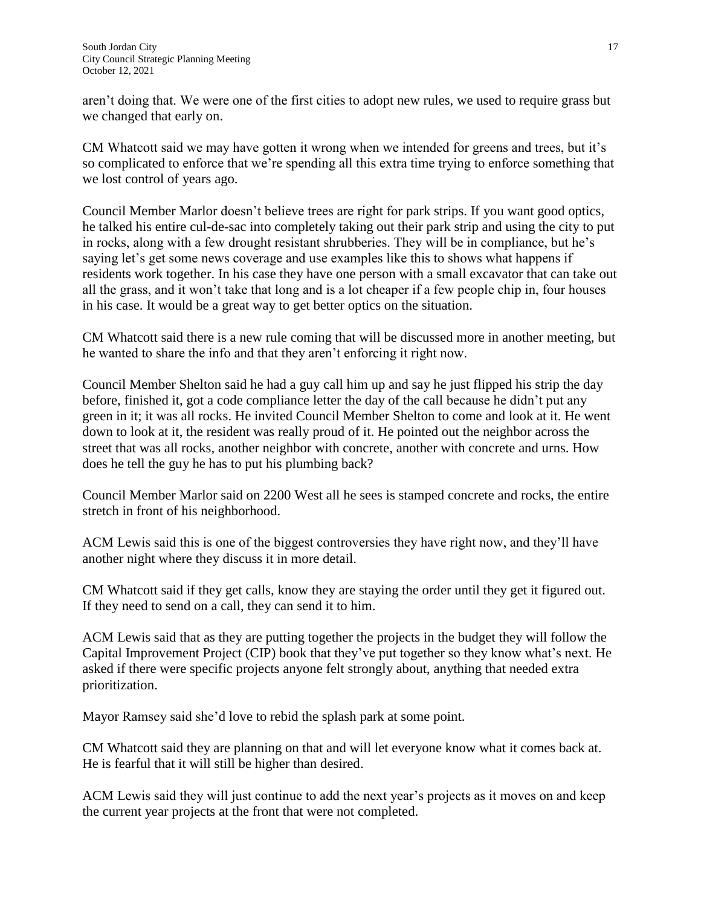aren't doing that. We were one of the first cities to adopt new rules, we used to require grass but we changed that early on.

CM Whatcott said we may have gotten it wrong when we intended for greens and trees, but it's so complicated to enforce that we're spending all this extra time trying to enforce something that we lost control of years ago.

Council Member Marlor doesn't believe trees are right for park strips. If you want good optics, he talked his entire cul-de-sac into completely taking out their park strip and using the city to put in rocks, along with a few drought resistant shrubberies. They will be in compliance, but he's saying let's get some news coverage and use examples like this to shows what happens if residents work together. In his case they have one person with a small excavator that can take out all the grass, and it won't take that long and is a lot cheaper if a few people chip in, four houses in his case. It would be a great way to get better optics on the situation.

CM Whatcott said there is a new rule coming that will be discussed more in another meeting, but he wanted to share the info and that they aren't enforcing it right now.

Council Member Shelton said he had a guy call him up and say he just flipped his strip the day before, finished it, got a code compliance letter the day of the call because he didn't put any green in it; it was all rocks. He invited Council Member Shelton to come and look at it. He went down to look at it, the resident was really proud of it. He pointed out the neighbor across the street that was all rocks, another neighbor with concrete, another with concrete and urns. How does he tell the guy he has to put his plumbing back?

Council Member Marlor said on 2200 West all he sees is stamped concrete and rocks, the entire stretch in front of his neighborhood.

ACM Lewis said this is one of the biggest controversies they have right now, and they'll have another night where they discuss it in more detail.

CM Whatcott said if they get calls, know they are staying the order until they get it figured out. If they need to send on a call, they can send it to him.

ACM Lewis said that as they are putting together the projects in the budget they will follow the Capital Improvement Project (CIP) book that they've put together so they know what's next. He asked if there were specific projects anyone felt strongly about, anything that needed extra prioritization.

Mayor Ramsey said she'd love to rebid the splash park at some point.

CM Whatcott said they are planning on that and will let everyone know what it comes back at. He is fearful that it will still be higher than desired.

ACM Lewis said they will just continue to add the next year's projects as it moves on and keep the current year projects at the front that were not completed.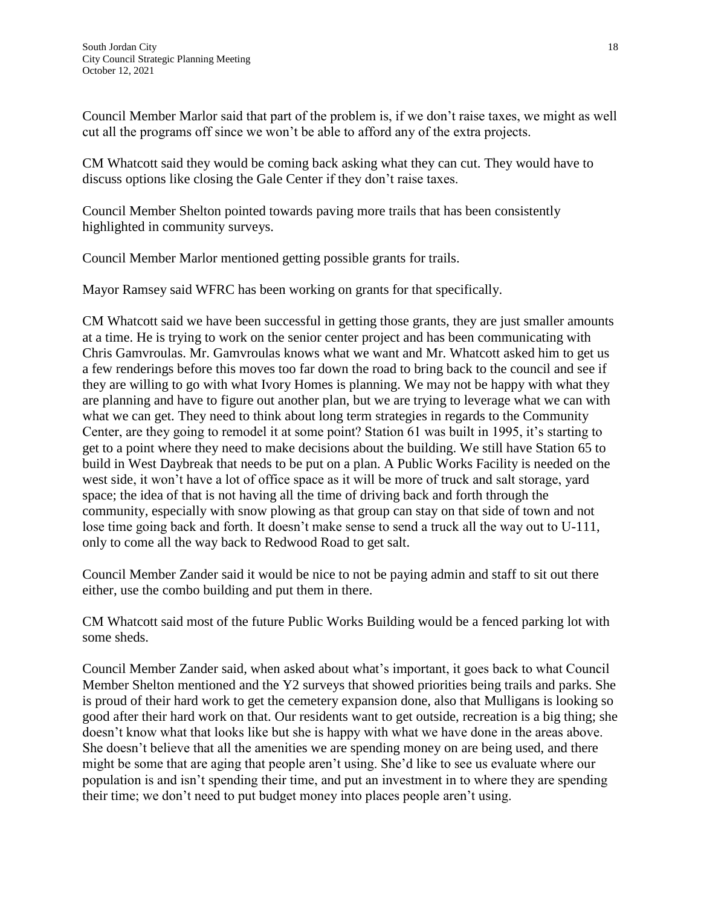Council Member Marlor said that part of the problem is, if we don't raise taxes, we might as well cut all the programs off since we won't be able to afford any of the extra projects.

CM Whatcott said they would be coming back asking what they can cut. They would have to discuss options like closing the Gale Center if they don't raise taxes.

Council Member Shelton pointed towards paving more trails that has been consistently highlighted in community surveys.

Council Member Marlor mentioned getting possible grants for trails.

Mayor Ramsey said WFRC has been working on grants for that specifically.

CM Whatcott said we have been successful in getting those grants, they are just smaller amounts at a time. He is trying to work on the senior center project and has been communicating with Chris Gamvroulas. Mr. Gamvroulas knows what we want and Mr. Whatcott asked him to get us a few renderings before this moves too far down the road to bring back to the council and see if they are willing to go with what Ivory Homes is planning. We may not be happy with what they are planning and have to figure out another plan, but we are trying to leverage what we can with what we can get. They need to think about long term strategies in regards to the Community Center, are they going to remodel it at some point? Station 61 was built in 1995, it's starting to get to a point where they need to make decisions about the building. We still have Station 65 to build in West Daybreak that needs to be put on a plan. A Public Works Facility is needed on the west side, it won't have a lot of office space as it will be more of truck and salt storage, yard space; the idea of that is not having all the time of driving back and forth through the community, especially with snow plowing as that group can stay on that side of town and not lose time going back and forth. It doesn't make sense to send a truck all the way out to U-111, only to come all the way back to Redwood Road to get salt.

Council Member Zander said it would be nice to not be paying admin and staff to sit out there either, use the combo building and put them in there.

CM Whatcott said most of the future Public Works Building would be a fenced parking lot with some sheds.

Council Member Zander said, when asked about what's important, it goes back to what Council Member Shelton mentioned and the Y2 surveys that showed priorities being trails and parks. She is proud of their hard work to get the cemetery expansion done, also that Mulligans is looking so good after their hard work on that. Our residents want to get outside, recreation is a big thing; she doesn't know what that looks like but she is happy with what we have done in the areas above. She doesn't believe that all the amenities we are spending money on are being used, and there might be some that are aging that people aren't using. She'd like to see us evaluate where our population is and isn't spending their time, and put an investment in to where they are spending their time; we don't need to put budget money into places people aren't using.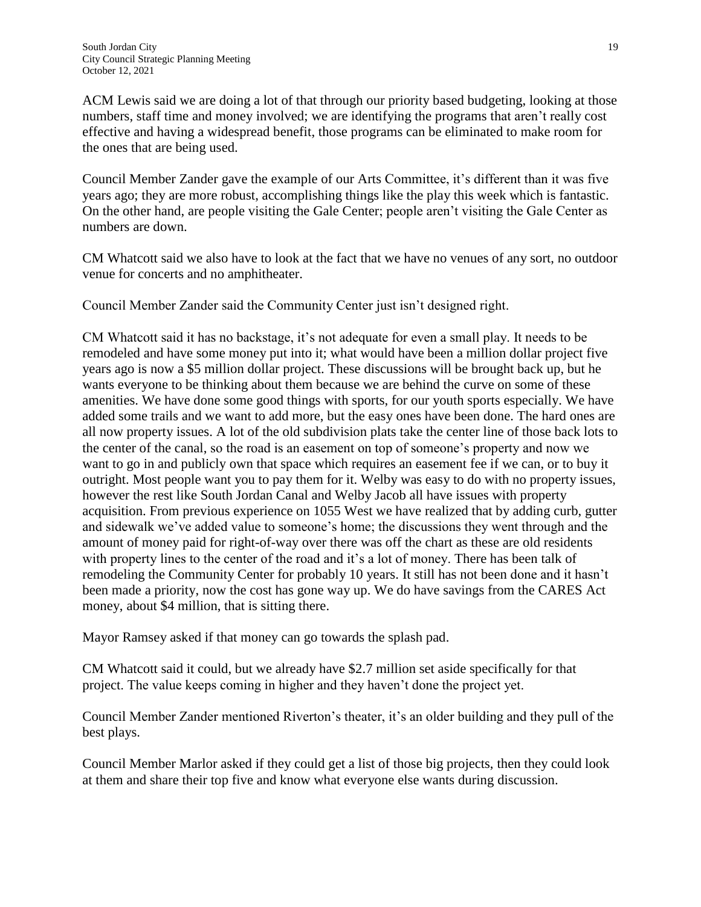ACM Lewis said we are doing a lot of that through our priority based budgeting, looking at those numbers, staff time and money involved; we are identifying the programs that aren't really cost effective and having a widespread benefit, those programs can be eliminated to make room for the ones that are being used.

Council Member Zander gave the example of our Arts Committee, it's different than it was five years ago; they are more robust, accomplishing things like the play this week which is fantastic. On the other hand, are people visiting the Gale Center; people aren't visiting the Gale Center as numbers are down.

CM Whatcott said we also have to look at the fact that we have no venues of any sort, no outdoor venue for concerts and no amphitheater.

Council Member Zander said the Community Center just isn't designed right.

CM Whatcott said it has no backstage, it's not adequate for even a small play. It needs to be remodeled and have some money put into it; what would have been a million dollar project five years ago is now a \$5 million dollar project. These discussions will be brought back up, but he wants everyone to be thinking about them because we are behind the curve on some of these amenities. We have done some good things with sports, for our youth sports especially. We have added some trails and we want to add more, but the easy ones have been done. The hard ones are all now property issues. A lot of the old subdivision plats take the center line of those back lots to the center of the canal, so the road is an easement on top of someone's property and now we want to go in and publicly own that space which requires an easement fee if we can, or to buy it outright. Most people want you to pay them for it. Welby was easy to do with no property issues, however the rest like South Jordan Canal and Welby Jacob all have issues with property acquisition. From previous experience on 1055 West we have realized that by adding curb, gutter and sidewalk we've added value to someone's home; the discussions they went through and the amount of money paid for right-of-way over there was off the chart as these are old residents with property lines to the center of the road and it's a lot of money. There has been talk of remodeling the Community Center for probably 10 years. It still has not been done and it hasn't been made a priority, now the cost has gone way up. We do have savings from the CARES Act money, about \$4 million, that is sitting there.

Mayor Ramsey asked if that money can go towards the splash pad.

CM Whatcott said it could, but we already have \$2.7 million set aside specifically for that project. The value keeps coming in higher and they haven't done the project yet.

Council Member Zander mentioned Riverton's theater, it's an older building and they pull of the best plays.

Council Member Marlor asked if they could get a list of those big projects, then they could look at them and share their top five and know what everyone else wants during discussion.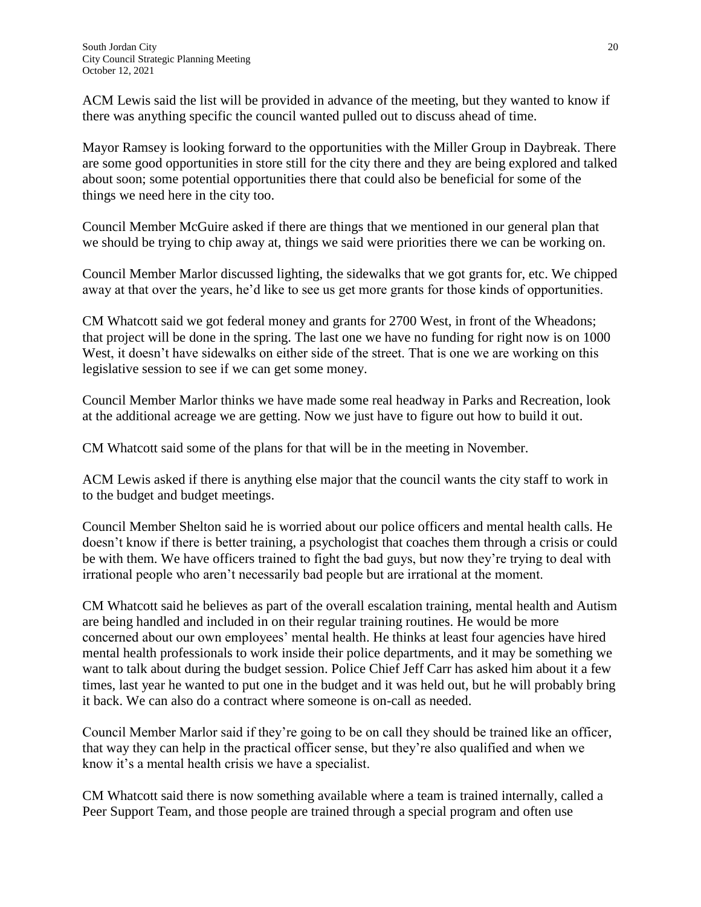ACM Lewis said the list will be provided in advance of the meeting, but they wanted to know if there was anything specific the council wanted pulled out to discuss ahead of time.

Mayor Ramsey is looking forward to the opportunities with the Miller Group in Daybreak. There are some good opportunities in store still for the city there and they are being explored and talked about soon; some potential opportunities there that could also be beneficial for some of the things we need here in the city too.

Council Member McGuire asked if there are things that we mentioned in our general plan that we should be trying to chip away at, things we said were priorities there we can be working on.

Council Member Marlor discussed lighting, the sidewalks that we got grants for, etc. We chipped away at that over the years, he'd like to see us get more grants for those kinds of opportunities.

CM Whatcott said we got federal money and grants for 2700 West, in front of the Wheadons; that project will be done in the spring. The last one we have no funding for right now is on 1000 West, it doesn't have sidewalks on either side of the street. That is one we are working on this legislative session to see if we can get some money.

Council Member Marlor thinks we have made some real headway in Parks and Recreation, look at the additional acreage we are getting. Now we just have to figure out how to build it out.

CM Whatcott said some of the plans for that will be in the meeting in November.

ACM Lewis asked if there is anything else major that the council wants the city staff to work in to the budget and budget meetings.

Council Member Shelton said he is worried about our police officers and mental health calls. He doesn't know if there is better training, a psychologist that coaches them through a crisis or could be with them. We have officers trained to fight the bad guys, but now they're trying to deal with irrational people who aren't necessarily bad people but are irrational at the moment.

CM Whatcott said he believes as part of the overall escalation training, mental health and Autism are being handled and included in on their regular training routines. He would be more concerned about our own employees' mental health. He thinks at least four agencies have hired mental health professionals to work inside their police departments, and it may be something we want to talk about during the budget session. Police Chief Jeff Carr has asked him about it a few times, last year he wanted to put one in the budget and it was held out, but he will probably bring it back. We can also do a contract where someone is on-call as needed.

Council Member Marlor said if they're going to be on call they should be trained like an officer, that way they can help in the practical officer sense, but they're also qualified and when we know it's a mental health crisis we have a specialist.

CM Whatcott said there is now something available where a team is trained internally, called a Peer Support Team, and those people are trained through a special program and often use